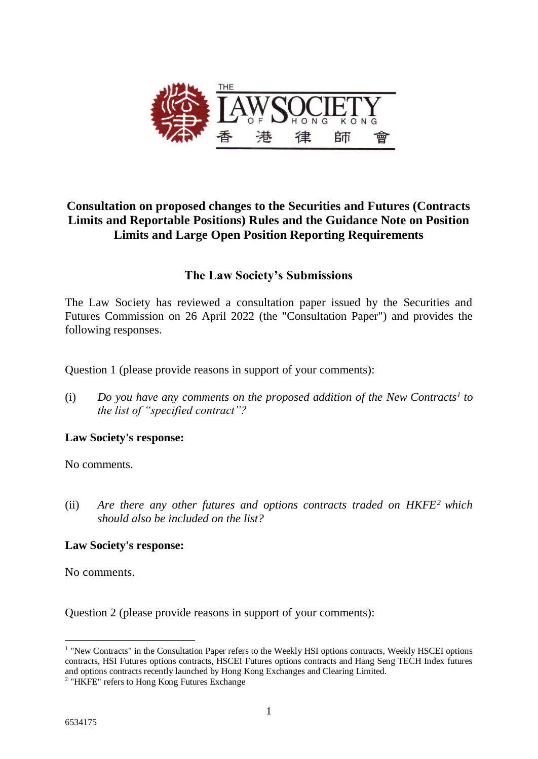

## **Consultation on proposed changes to the Securities and Futures (Contracts Limits and Reportable Positions) Rules and the Guidance Note on Position Limits and Large Open Position Reporting Requirements**

### **The Law Society's Submissions**

The Law Society has reviewed a consultation paper issued by the Securities and Futures Commission on 26 April 2022 (the "Consultation Paper") and provides the following responses.

Question 1 (please provide reasons in support of your comments):

(i) *Do you have any comments on the proposed addition of the New Contracts<sup>1</sup> to the list of "specified contract"?* 

#### **Law Society's response:**

No comments.

(ii) *Are there any other futures and options contracts traded on HKFE<sup>2</sup> which should also be included on the list?*

#### **Law Society's response:**

No comments.

Question 2 (please provide reasons in support of your comments):

<sup>&</sup>lt;u>.</u> <sup>1</sup> "New Contracts" in the Consultation Paper refers to the Weekly HSI options contracts, Weekly HSCEI options contracts, HSI Futures options contracts, HSCEI Futures options contracts and Hang Seng TECH Index futures and options contracts recently launched by Hong Kong Exchanges and Clearing Limited.

<sup>&</sup>lt;sup>2</sup> "HKFE" refers to Hong Kong Futures Exchange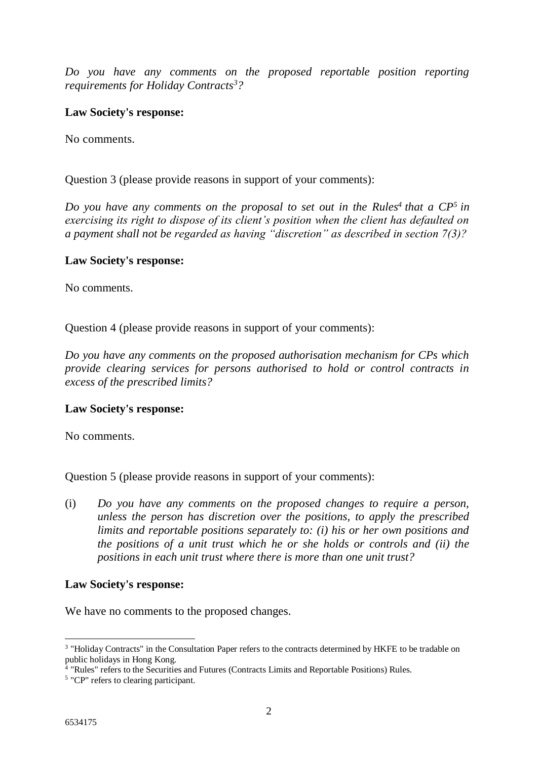*Do you have any comments on the proposed reportable position reporting requirements for Holiday Contracts<sup>3</sup>?*

#### **Law Society's response:**

No comments.

#### Question 3 (please provide reasons in support of your comments):

*Do you have any comments on the proposal to set out in the Rules<sup>4</sup> that a CP<sup>5</sup> in exercising its right to dispose of its client's position when the client has defaulted on a payment shall not be regarded as having "discretion" as described in section 7(3)?*

#### **Law Society's response:**

No comments.

Question 4 (please provide reasons in support of your comments):

*Do you have any comments on the proposed authorisation mechanism for CPs which provide clearing services for persons authorised to hold or control contracts in excess of the prescribed limits?*

#### **Law Society's response:**

No comments.

Question 5 (please provide reasons in support of your comments):

(i) *Do you have any comments on the proposed changes to require a person, unless the person has discretion over the positions, to apply the prescribed limits and reportable positions separately to: (i) his or her own positions and the positions of a unit trust which he or she holds or controls and (ii) the positions in each unit trust where there is more than one unit trust?*

#### **Law Society's response:**

We have no comments to the proposed changes.

<u>.</u>

<sup>&</sup>lt;sup>3</sup> "Holiday Contracts" in the Consultation Paper refers to the contracts determined by HKFE to be tradable on public holidays in Hong Kong.

<sup>4</sup> "Rules" refers to the Securities and Futures (Contracts Limits and Reportable Positions) Rules.

<sup>&</sup>lt;sup>5</sup> "CP" refers to clearing participant.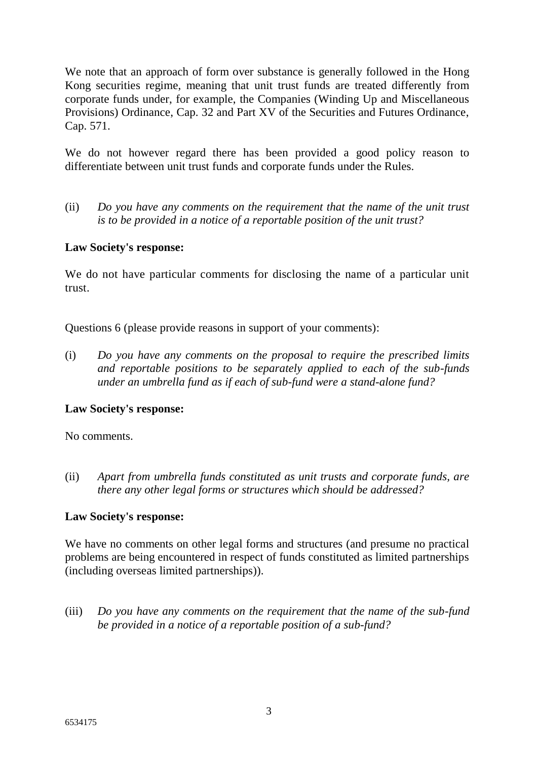We note that an approach of form over substance is generally followed in the Hong Kong securities regime, meaning that unit trust funds are treated differently from corporate funds under, for example, the Companies (Winding Up and Miscellaneous Provisions) Ordinance, Cap. 32 and Part XV of the Securities and Futures Ordinance, Cap. 571.

We do not however regard there has been provided a good policy reason to differentiate between unit trust funds and corporate funds under the Rules.

(ii) *Do you have any comments on the requirement that the name of the unit trust is to be provided in a notice of a reportable position of the unit trust?*

#### **Law Society's response:**

We do not have particular comments for disclosing the name of a particular unit trust.

Questions 6 (please provide reasons in support of your comments):

(i) *Do you have any comments on the proposal to require the prescribed limits and reportable positions to be separately applied to each of the sub-funds under an umbrella fund as if each of sub-fund were a stand-alone fund?*

#### **Law Society's response:**

No comments.

(ii) *Apart from umbrella funds constituted as unit trusts and corporate funds, are there any other legal forms or structures which should be addressed?* 

#### **Law Society's response:**

We have no comments on other legal forms and structures (and presume no practical problems are being encountered in respect of funds constituted as limited partnerships (including overseas limited partnerships)).

(iii) *Do you have any comments on the requirement that the name of the sub-fund be provided in a notice of a reportable position of a sub-fund?*